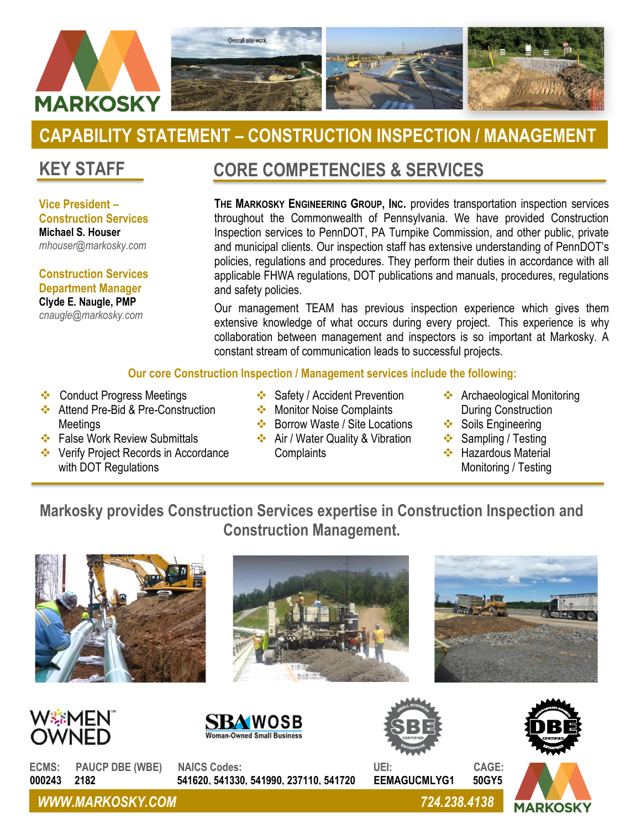

# **CAPABILITY STATEMENT – CONSTRUCTION INSPECTION / MANAGEMENT**

### **KEY STAFF**

**Vice President – Construction Services Michael S. Houser** *mhouser@markosky.com*

**Construction Services Department Manager Clyde E. Naugle, PMP** *cnaugle@markosky.com*

### **CORE COMPETENCIES & SERVICES**

**THE MARKOSKY ENGINEERING GROUP, INC.** provides transportation inspection services throughout the Commonwealth of Pennsylvania. We have provided Construction Inspection services to PennDOT, PA Turnpike Commission, and other public, private and municipal clients. Our inspection staff has extensive understanding of PennDOT's policies, regulations and procedures. They perform their duties in accordance with all applicable FHWA regulations, DOT publications and manuals, procedures, regulations and safety policies.

Our management TEAM has previous inspection experience which gives them extensive knowledge of what occurs during every project. This experience is why collaboration between management and inspectors is so important at Markosky. A constant stream of communication leads to successful projects.

#### **Our core Construction Inspection / Management services include the following:**

- ❖ Conduct Progress Meetings
- ❖ Attend Pre-Bid & Pre-Construction Meetings
- ❖ False Work Review Submittals

❖ In – Depth Inspections

- ❖ Verify Project Records in Accordance with DOT Regulations
- ❖ Safety / Accident Prevention
- ❖ Monitor Noise Complaints ❖ Borrow Waste / Site Locations

❖ Air / Water Quality & Vibration

- During Construction
	- ❖ Soils Engineering
	- ❖ Sampling / Testing

❖ Archaeological Monitoring

❖ Hazardous Material Monitoring / Testing

### **Markosky provides Construction Services expertise in Construction Inspection and Construction Management.**

**Complaints** 











**MARKOSKY** 

**ECMS: PAUCP DBE (WBE) NAICS Codes: UEI: CAGE: 000243 2182 541620, 541330, 541990, 237110, 541720 EEMAGUCMLYG1 50GY5**

*WWW.MARKOSKY.COM 724.238.4138*